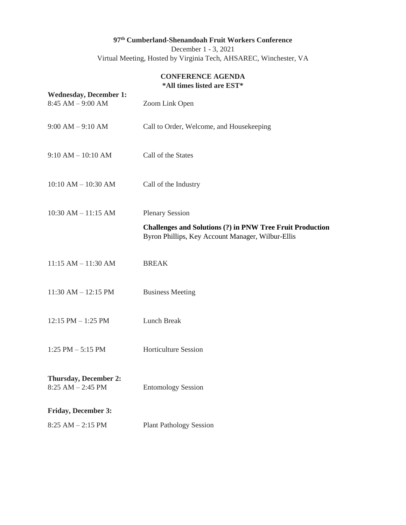# **97th Cumberland-Shenandoah Fruit Workers Conference**

December 1 - 3, 2021 Virtual Meeting, Hosted by Virginia Tech, AHSAREC, Winchester, VA

### **CONFERENCE AGENDA \*All times listed are EST\***

| <b>Wednesday, December 1:</b><br>$8:45$ AM $-9:00$ AM | Zoom Link Open                                                                                                                                  |
|-------------------------------------------------------|-------------------------------------------------------------------------------------------------------------------------------------------------|
| $9:00 AM - 9:10 AM$                                   | Call to Order, Welcome, and Housekeeping                                                                                                        |
| $9:10 AM - 10:10 AM$                                  | Call of the States                                                                                                                              |
| $10:10$ AM $- 10:30$ AM                               | Call of the Industry                                                                                                                            |
| $10:30$ AM $- 11:15$ AM                               | <b>Plenary Session</b><br><b>Challenges and Solutions (?) in PNW Tree Fruit Production</b><br>Byron Phillips, Key Account Manager, Wilbur-Ellis |
| $11:15 AM - 11:30 AM$                                 | <b>BREAK</b>                                                                                                                                    |
| $11:30$ AM $- 12:15$ PM                               | <b>Business Meeting</b>                                                                                                                         |
| $12:15$ PM $-1:25$ PM                                 | <b>Lunch Break</b>                                                                                                                              |
| $1:25$ PM $-5:15$ PM                                  | <b>Horticulture Session</b>                                                                                                                     |
| <b>Thursday, December 2:</b><br>$8:25 AM - 2:45 PM$   | <b>Entomology Session</b>                                                                                                                       |
| <b>Friday, December 3:</b>                            |                                                                                                                                                 |
| $8:25 AM - 2:15 PM$                                   | <b>Plant Pathology Session</b>                                                                                                                  |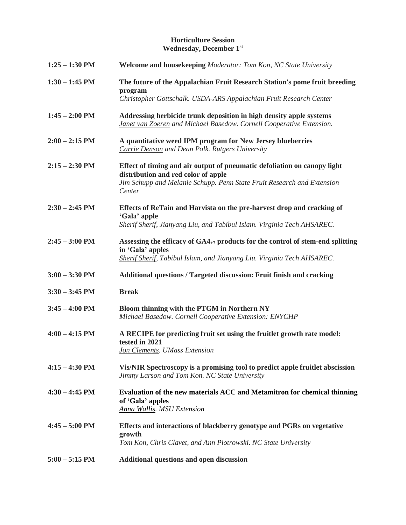### **Horticulture Session Wednesday, December 1st**

| $1:25 - 1:30$ PM | Welcome and housekeeping Moderator: Tom Kon, NC State University                                                                                                                                           |
|------------------|------------------------------------------------------------------------------------------------------------------------------------------------------------------------------------------------------------|
| $1:30 - 1:45$ PM | The future of the Appalachian Fruit Research Station's pome fruit breeding<br>program<br>Christopher Gottschalk. USDA-ARS Appalachian Fruit Research Center                                                |
| $1:45 - 2:00$ PM | Addressing herbicide trunk deposition in high density apple systems<br>Janet van Zoeren and Michael Basedow. Cornell Cooperative Extension.                                                                |
| $2:00 - 2:15$ PM | A quantitative weed IPM program for New Jersey blueberries<br><b>Carrie Denson and Dean Polk. Rutgers University</b>                                                                                       |
| $2:15 - 2:30$ PM | Effect of timing and air output of pneumatic defoliation on canopy light<br>distribution and red color of apple<br><b>Jim Schupp</b> and Melanie Schupp. Penn State Fruit Research and Extension<br>Center |
| $2:30 - 2:45$ PM | Effects of ReTain and Harvista on the pre-harvest drop and cracking of<br>'Gala' apple<br>Sherif Sherif, Jianyang Liu, and Tabibul Islam. Virginia Tech AHSAREC.                                           |
| $2:45 - 3:00$ PM | Assessing the efficacy of GA4+7 products for the control of stem-end splitting<br>in 'Gala' apples<br><b>Sherif Sherif, Tabibul Islam, and Jianyang Liu. Virginia Tech AHSAREC.</b>                        |
| $3:00 - 3:30$ PM | Additional questions / Targeted discussion: Fruit finish and cracking                                                                                                                                      |
| $3:30 - 3:45$ PM | <b>Break</b>                                                                                                                                                                                               |
| $3:45 - 4:00$ PM | Bloom thinning with the PTGM in Northern NY<br>Michael Basedow. Cornell Cooperative Extension: ENYCHP                                                                                                      |
| $4:00 - 4:15$ PM | A RECIPE for predicting fruit set using the fruitlet growth rate model:<br>tested in 2021<br><b>Jon Clements. UMass Extension</b>                                                                          |
| $4:15 - 4:30$ PM | Vis/NIR Spectroscopy is a promising tool to predict apple fruitlet abscission<br>Jimmy Larson and Tom Kon. NC State University                                                                             |
| $4:30 - 4:45$ PM | Evaluation of the new materials ACC and Metamitron for chemical thinning<br>of 'Gala' apples<br><b>Anna Wallis, MSU Extension</b>                                                                          |
| $4:45 - 5:00$ PM | Effects and interactions of blackberry genotype and PGRs on vegetative<br>growth<br>Tom Kon, Chris Clavet, and Ann Piotrowski. NC State University                                                         |
| $5:00 - 5:15$ PM | <b>Additional questions and open discussion</b>                                                                                                                                                            |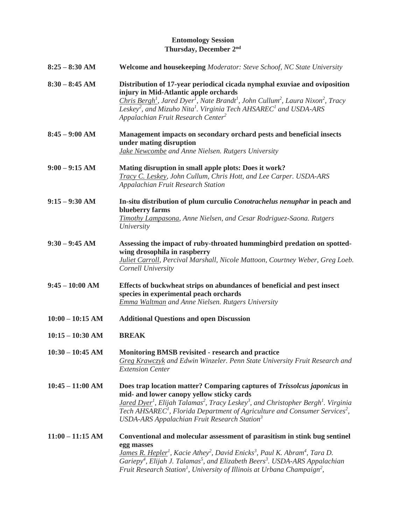## **Entomology Session Thursday, December 2nd**

| $8:25 - 8:30$ AM   | <b>Welcome and housekeeping Moderator: Steve Schoof, NC State University</b>                                                                                                                                                                                                                                                                                                                                                                |
|--------------------|---------------------------------------------------------------------------------------------------------------------------------------------------------------------------------------------------------------------------------------------------------------------------------------------------------------------------------------------------------------------------------------------------------------------------------------------|
| $8:30 - 8:45$ AM   | Distribution of 17-year periodical cicada nymphal exuviae and oviposition<br>injury in Mid-Atlantic apple orchards<br>Chris Bergh <sup>1</sup> , Jared Dyer <sup>1</sup> , Nate Brandt <sup>1</sup> , John Cullum <sup>2</sup> , Laura Nixon <sup>2</sup> , Tracy<br>Leskey <sup>2</sup> , and Mizuho Nita <sup>1</sup> . Virginia Tech AHSAREC <sup>1</sup> and USDA-ARS<br>Appalachian Fruit Research Center <sup>2</sup>                 |
| $8:45 - 9:00$ AM   | Management impacts on secondary orchard pests and beneficial insects<br>under mating disruption<br>Jake Newcombe and Anne Nielsen. Rutgers University                                                                                                                                                                                                                                                                                       |
| $9:00 - 9:15 AM$   | Mating disruption in small apple plots: Does it work?<br>Tracy C. Leskey, John Cullum, Chris Hott, and Lee Carper. USDA-ARS<br>Appalachian Fruit Research Station                                                                                                                                                                                                                                                                           |
| $9:15 - 9:30$ AM   | In-situ distribution of plum curculio Conotrachelus nenuphar in peach and<br>blueberry farms<br>Timothy Lampasona, Anne Nielsen, and Cesar Rodriguez-Saona. Rutgers<br>University                                                                                                                                                                                                                                                           |
| $9:30 - 9:45$ AM   | Assessing the impact of ruby-throated hummingbird predation on spotted-<br>wing drosophila in raspberry<br><b>Juliet Carroll, Percival Marshall, Nicole Mattoon, Courtney Weber, Greg Loeb.</b><br>Cornell University                                                                                                                                                                                                                       |
| $9:45 - 10:00$ AM  | Effects of buckwheat strips on abundances of beneficial and pest insect<br>species in experimental peach orchards<br><b>Emma Waltman and Anne Nielsen. Rutgers University</b>                                                                                                                                                                                                                                                               |
| $10:00 - 10:15$ AM | <b>Additional Questions and open Discussion</b>                                                                                                                                                                                                                                                                                                                                                                                             |
| $10:15 - 10:30$ AM | <b>BREAK</b>                                                                                                                                                                                                                                                                                                                                                                                                                                |
| $10:30 - 10:45$ AM | <b>Monitoring BMSB revisited - research and practice</b><br>Greg Krawczyk and Edwin Winzeler. Penn State University Fruit Research and<br><b>Extension Center</b>                                                                                                                                                                                                                                                                           |
| $10:45 - 11:00$ AM | Does trap location matter? Comparing captures of Trissolcus japonicus in<br>mid- and lower canopy yellow sticky cards<br>Jared Dyer <sup>1</sup> , Elijah Talamas <sup>2</sup> , Tracy Leskey <sup>3</sup> , and Christopher Bergh <sup>1</sup> . Virginia<br>Tech AHSAREC <sup>1</sup> , Florida Department of Agriculture and Consumer Services <sup>2</sup> ,<br>USDA-ARS Appalachian Fruit Research Station <sup>3</sup>                |
| $11:00 - 11:15$ AM | Conventional and molecular assessment of parasitism in stink bug sentinel<br>egg masses<br>James R. Hepler <sup>1</sup> , Kacie Athey <sup>2</sup> , David Enicks <sup>3</sup> , Paul K. Abram <sup>4</sup> , Tara D.<br>Gariepy <sup>4</sup> , Elijah J. Talamas <sup>5</sup> , and Elizabeth Beers <sup>3</sup> . USDA-ARS Appalachian<br>Fruit Research Station <sup>1</sup> , University of Illinois at Urbana Champaign <sup>2</sup> , |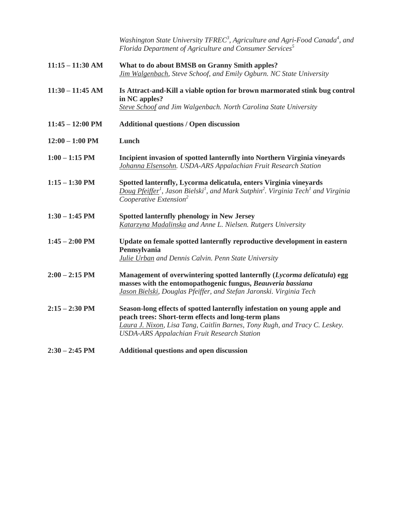|                            | Washington State University $TFREC^3$ , Agriculture and Agri-Food Canada <sup>4</sup> , and<br>Florida Department of Agriculture and Consumer Services <sup>5</sup>                                                                                                 |
|----------------------------|---------------------------------------------------------------------------------------------------------------------------------------------------------------------------------------------------------------------------------------------------------------------|
| $11:15 - 11:30$ AM         | What to do about BMSB on Granny Smith apples?<br>Jim Walgenbach, Steve Schoof, and Emily Ogburn. NC State University                                                                                                                                                |
| $11:30 - 11:45$ AM         | Is Attract-and-Kill a viable option for brown marmorated stink bug control<br>in NC apples?<br>Steve Schoof and Jim Walgenbach. North Carolina State University                                                                                                     |
| $11:45 - 12:00 \text{ PM}$ | <b>Additional questions / Open discussion</b>                                                                                                                                                                                                                       |
| $12:00 - 1:00$ PM          | Lunch                                                                                                                                                                                                                                                               |
| $1:00 - 1:15$ PM           | Incipient invasion of spotted lanternfly into Northern Virginia vineyards<br>Johanna Elsensohn. USDA-ARS Appalachian Fruit Research Station                                                                                                                         |
| $1:15 - 1:30$ PM           | Spotted lanternfly, Lycorma delicatula, enters Virginia vineyards<br>Doug Pfeiffer <sup>1</sup> , Jason Bielski <sup>1</sup> , and Mark Sutphin <sup>2</sup> . Virginia Tech <sup>1</sup> and Virginia<br>Cooperative Extension <sup>2</sup>                        |
| $1:30 - 1:45$ PM           | <b>Spotted lanternfly phenology in New Jersey</b><br>Katarzyna Madalinska and Anne L. Nielsen. Rutgers University                                                                                                                                                   |
| $1:45 - 2:00$ PM           | Update on female spotted lanternfly reproductive development in eastern<br>Pennsylvania<br>Julie Urban and Dennis Calvin. Penn State University                                                                                                                     |
| $2:00 - 2:15$ PM           | Management of overwintering spotted lanternfly (Lycorma delicatula) egg<br>masses with the entomopathogenic fungus, Beauveria bassiana<br>Jason Bielski, Douglas Pfeiffer, and Stefan Jaronski. Virginia Tech                                                       |
| $2:15 - 2:30$ PM           | Season-long effects of spotted lanternfly infestation on young apple and<br>peach trees: Short-term effects and long-term plans<br>Laura J. Nixon, Lisa Tang, Caitlin Barnes, Tony Rugh, and Tracy C. Leskey.<br><b>USDA-ARS Appalachian Fruit Research Station</b> |
| $2:30 - 2:45$ PM           | <b>Additional questions and open discussion</b>                                                                                                                                                                                                                     |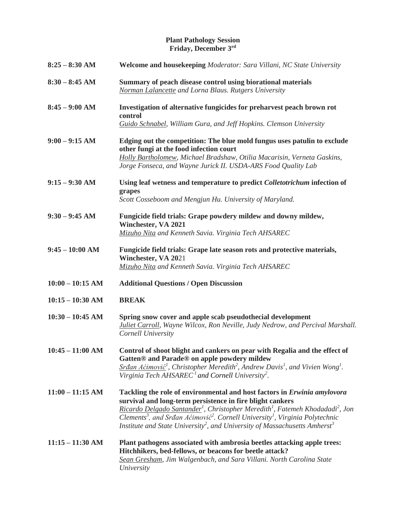#### **Plant Pathology Session Friday, December 3rd**

| $8:25 - 8:30$ AM   | Welcome and housekeeping Moderator: Sara Villani, NC State University                                                                                                                                                                                                                                                                                                                                                                                                                |
|--------------------|--------------------------------------------------------------------------------------------------------------------------------------------------------------------------------------------------------------------------------------------------------------------------------------------------------------------------------------------------------------------------------------------------------------------------------------------------------------------------------------|
| $8:30 - 8:45$ AM   | Summary of peach disease control using biorational materials<br>Norman Lalancette and Lorna Blaus. Rutgers University                                                                                                                                                                                                                                                                                                                                                                |
| $8:45 - 9:00$ AM   | Investigation of alternative fungicides for preharvest peach brown rot<br>control<br>Guido Schnabel, William Gura, and Jeff Hopkins. Clemson University                                                                                                                                                                                                                                                                                                                              |
| $9:00 - 9:15 AM$   | Edging out the competition: The blue mold fungus uses patulin to exclude<br>other fungi at the food infection court<br>Holly Bartholomew, Michael Bradshaw, Otilia Macarisin, Verneta Gaskins,<br>Jorge Fonseca, and Wayne Jurick II. USDA-ARS Food Quality Lab                                                                                                                                                                                                                      |
| $9:15 - 9:30$ AM   | Using leaf wetness and temperature to predict Colletotrichum infection of<br>grapes<br>Scott Cosseboom and Mengjun Hu. University of Maryland.                                                                                                                                                                                                                                                                                                                                       |
| $9:30 - 9:45$ AM   | Fungicide field trials: Grape powdery mildew and downy mildew,<br>Winchester, VA 2021<br>Mizuho Nita and Kenneth Savia. Virginia Tech AHSAREC                                                                                                                                                                                                                                                                                                                                        |
| $9:45 - 10:00$ AM  | Fungicide field trials: Grape late season rots and protective materials,<br>Winchester, VA 2021<br>Mizuho Nita and Kenneth Savia. Virginia Tech AHSAREC                                                                                                                                                                                                                                                                                                                              |
| $10:00 - 10:15$ AM | <b>Additional Questions / Open Discussion</b>                                                                                                                                                                                                                                                                                                                                                                                                                                        |
| $10:15 - 10:30$ AM | <b>BREAK</b>                                                                                                                                                                                                                                                                                                                                                                                                                                                                         |
| $10:30 - 10:45$ AM | Spring snow cover and apple scab pseudothecial development<br><b>Juliet Carroll</b> , Wayne Wilcox, Ron Neville, Judy Nedrow, and Percival Marshall.<br>Cornell University                                                                                                                                                                                                                                                                                                           |
| $10:45 - 11:00$ AM | Control of shoot blight and cankers on pear with Regalia and the effect of<br>Gatten <sup>®</sup> and Parade <sup>®</sup> on apple powdery mildew<br>$Sr$ <i>dan Aćimović</i> <sup>1</sup> , Christopher Meredith <sup>2</sup> , Andrew Davis <sup>1</sup> , and Vivien Wong <sup>1</sup> .<br>Virginia Tech AHSAREC <sup>1</sup> and Cornell University <sup>2</sup> .                                                                                                              |
| $11:00 - 11:15$ AM | Tackling the role of environmental and host factors in Erwinia amylovora<br>survival and long-term persistence in fire blight cankers<br>Ricardo Delgado Santander <sup>1</sup> , Christopher Meredith <sup>1</sup> , Fatemeh Khodadadi <sup>2</sup> , Jon<br>Clements <sup>3</sup> , and Srđan Aćimović <sup>2</sup> . Cornell University <sup>1</sup> , Virginia Polytechnic<br>Institute and State University <sup>2</sup> , and University of Massachusetts Amherst <sup>3</sup> |
| $11:15 - 11:30$ AM | Plant pathogens associated with ambrosia beetles attacking apple trees:<br>Hitchhikers, bed-fellows, or beacons for beetle attack?<br>Sean Gresham, Jim Walgenbach, and Sara Villani. North Carolina State<br>University                                                                                                                                                                                                                                                             |